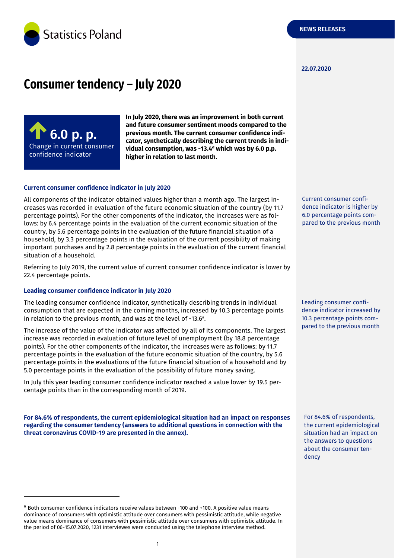

#### **22.07.2020**

# **Consumer tendency – July 2020**



**In July 2020, there was an improvement in both current and future consumer sentiment moods compared to the previous month. The current consumer confidence indicator, synthetically describing the current trends in individual consumption, was -13.4** *<sup>a</sup>* **which was by 6.0 p.p. higher in relation to last month.**

#### **Current consumer confidence indicator in July 2020**

All components of the indicator obtained values higher than a month ago. The largest increases was recorded in evaluation of the future economic situation of the country (by 11.7 percentage points). For the other components of the indicator, the increases were as follows: by 6.4 percentage points in the evaluation of the current economic situation of the country, by 5.6 percentage points in the evaluation of the future financial situation of a household, by 3.3 percentage points in the evaluation of the current possibility of making important purchases and by 2.8 percentage points in the evaluation of the current financial situation of a household.

Referring to July 2019, the current value of current consumer confidence indicator is lower by 22.4 percentage points.

#### **Leading consumer confidence indicator in July 2020**

-

The leading consumer confidence indicator, synthetically describing trends in individual consumption that are expected in the coming months, increased by 10.3 percentage points in relation to the previous month, and was at the level of -13.6 a .

The increase of the value of the indicator was affected by all of its components. The largest increase was recorded in evaluation of future level of unemployment (by 18.8 percentage points). For the other components of the indicator, the increases were as follows: by 11.7 percentage points in the evaluation of the future economic situation of the country, by 5.6 percentage points in the evaluations of the future financial situation of a household and by 5.0 percentage points in the evaluation of the possibility of future money saving.

In July this year leading consumer confidence indicator reached a value lower by 19.5 percentage points than in the corresponding month of 2019.

**For 84.6% of respondents, the current epidemiological situation had an impact on responses regarding the consumer tendency (answers to additional questions in connection with the threat coronavirus COVID-19 are presented in the annex).**

Current consumer confidence indicator is higher by 6.0 percentage points compared to the previous month

Leading consumer confidence indicator increased by 10.3 percentage points compared to the previous month

For 84.6% of respondents, the current epidemiological situation had an impact on the answers to questions about the consumer tendency

<sup>a</sup> Both consumer confidence indicators receive values between -100 and +100. A positive value means dominance of consumers with optimistic attitude over consumers with pessimistic attitude, while negative value means dominance of consumers with pessimistic attitude over consumers with optimistic attitude. In the period of 06-15.07.2020, 1231 interviewes were conducted using the telephone interview method.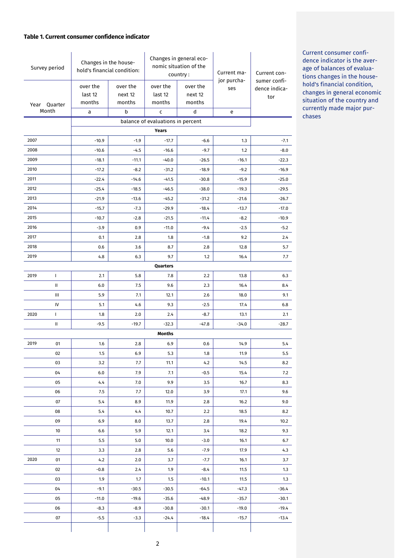#### **Table 1. Current consumer confidence indicator**

| Survey period                                     |       | Changes in the house-<br>hold's financial condition: |                               | Changes in general eco-<br>nomic situation of the<br>country: |                               | Current ma-        | Current con-                         |  |
|---------------------------------------------------|-------|------------------------------------------------------|-------------------------------|---------------------------------------------------------------|-------------------------------|--------------------|--------------------------------------|--|
| Year Quarter                                      |       | over the<br>last 12<br>months                        | over the<br>next 12<br>months | over the<br>last 12<br>months                                 | over the<br>next 12<br>months | jor purcha-<br>ses | sumer confi-<br>dence indica-<br>tor |  |
|                                                   | Month | a                                                    | b                             | c                                                             | d                             | e                  |                                      |  |
| balance of evaluations in percent<br><b>Years</b> |       |                                                      |                               |                                                               |                               |                    |                                      |  |
| 2007                                              |       | $-10.9$                                              | $-1.9$                        | $-17.7$                                                       | $-6.6$                        | 1.3                | $-7.1$                               |  |
| 2008                                              |       | $-10.6$                                              | $-4.5$                        | $-16.6$                                                       | $-9.7$                        | 1.2                | $-8.0$                               |  |
| 2009                                              |       | $-18.1$                                              | $-11.1$                       | $-40.0$                                                       | $-26.5$                       | $-16.1$            | $-22.3$                              |  |
| 2010                                              |       | $-17.2$                                              | $-8.2$                        | $-31.2$                                                       | $-18.9$                       | $-9.2$             | $-16.9$                              |  |
| 2011                                              |       | $-22.4$                                              | $-14.6$                       | $-41.5$                                                       | $-30.8$                       | $-15.9$            | $-25.0$                              |  |
| 2012                                              |       | $-25.4$                                              | $-18.5$                       | $-46.5$                                                       | $-38.0$                       | $-19.3$            | $-29.5$                              |  |
| 2013                                              |       | $-21.9$                                              | $-13.6$                       | $-45.2$                                                       | $-31.2$                       | $-21.6$            | $-26.7$                              |  |
| 2014                                              |       | $-15.7$                                              | $-7.3$                        | $-29.9$                                                       | $-18.4$                       | $-13.7$            | $-17.0$                              |  |
| 2015                                              |       | $-10.7$                                              | $-2.8$                        | $-21.5$                                                       | $-11.4$                       | $-8.2$             | $-10.9$                              |  |
| 2016                                              |       | $-3.9$                                               | 0.9                           | $-11.0$                                                       | $-9.4$                        | $-2.5$             | $-5.2$                               |  |
| 2017                                              |       | 0.1                                                  | 2.8                           | 1.8                                                           | $-1.8$                        | 9.2                | 2.4                                  |  |
| 2018                                              |       | 0.6                                                  | 3.6                           | 8.7                                                           | 2.8                           | 12.8               | 5.7                                  |  |
| 2019                                              |       | 4.8                                                  | 6.3                           | 9.7                                                           | 1.2                           | 16.4               | 7.7                                  |  |
|                                                   |       |                                                      |                               | Quarters                                                      |                               |                    |                                      |  |
| 2019                                              | T     | 2.1                                                  | 5.8                           | 7.8                                                           | 2.2                           | 13.8               | 6.3                                  |  |
|                                                   | Ш     | 6.0                                                  | 7.5                           | 9.6                                                           | 2.3                           | 16.4               | 8.4                                  |  |
|                                                   | Ш     | 5.9                                                  | 7.1                           | 12.1                                                          | 2.6                           | 18.0               | 9.1                                  |  |
|                                                   | IV    | 5.1                                                  | 4.6                           | 9.3                                                           | $-2.5$                        | 17.4               | 6.8                                  |  |
| 2020                                              | L     | 1.8                                                  | 2.0                           | 2.4                                                           | -8.7                          | 13.1               | 2.1                                  |  |
|                                                   | Ш     | $-9.5$                                               | $-19.7$                       | $-32.3$                                                       | $-47.8$                       | $-34.0$            | $-28.7$                              |  |
|                                                   |       |                                                      |                               | <b>Months</b>                                                 |                               |                    |                                      |  |
| 2019                                              | 01    | 1.6                                                  | 2.8                           | 6.9                                                           | 0.6                           | 14.9               | 5.4                                  |  |
|                                                   | 02    | 1.5                                                  | 6.9                           | 5.3                                                           | 1.8                           | 11.9               | 5.5                                  |  |
|                                                   | 03    | 3.2                                                  | 7.7                           | 11.1                                                          | 4.2                           | 14.5               | 8.2                                  |  |
|                                                   | 04    | 6.0                                                  | 7.9                           | 7.1                                                           | $-0.5$                        | 15.4               | 7.2                                  |  |
|                                                   | 05    | 4.4                                                  | 7.0                           | 9.9                                                           | 3.5                           | 16.7               | 8.3                                  |  |
|                                                   | 06    | 7.5                                                  | 7.7                           | 12.0                                                          | 3.9                           | 17.1               | 9.6                                  |  |
|                                                   | 07    | 5.4                                                  | 8.9                           | 11.9                                                          | 2.8                           | 16.2               | 9.0                                  |  |
|                                                   | 08    | 5.4                                                  | 4.4                           | 10.7                                                          | 2.2                           | 18.5               | 8.2                                  |  |
|                                                   | 09    | 6.9                                                  | 8.0                           | 13.7                                                          | 2.8                           | 19.4               | 10.2                                 |  |
|                                                   | 10    | 6.6                                                  | 5.9                           | 12.1                                                          | 3.4                           | 18.2               | 9.3                                  |  |
|                                                   | 11    | 5.5                                                  | 5.0                           | 10.0                                                          | $-3.0$                        | 16.1               | 6.7                                  |  |
|                                                   | 12    | 3.3                                                  | 2.8                           | 5.6                                                           | -7.9                          | 17.9               | 4.3                                  |  |
| 2020                                              | 01    | 4.2                                                  | 2.0                           | 3.7                                                           | -7.7                          | 16.1               | 3.7                                  |  |
|                                                   | 02    | $-0.8$                                               | 2.4                           | 1.9                                                           | $-8.4$                        | 11.5               | 1.3                                  |  |
|                                                   | 03    | 1.9                                                  | 1.7                           | 1.5                                                           | $-10.1$                       | 11.5               | 1.3                                  |  |
|                                                   | 04    | $-9.1$                                               | $-30.5$                       | $-30.5$                                                       | $-64.5$                       | $-47.3$            | $-36.4$                              |  |
|                                                   | 05    | $-11.0$                                              | $-19.6$                       | $-35.6$                                                       | $-48.9$                       | $-35.7$            | $-30.1$                              |  |
|                                                   | 06    | $-8.3$                                               | $-8.9$                        | $-30.8$                                                       | $-30.1$                       | $-19.0$            | $-19.4$                              |  |
|                                                   | 07    | $-5.5$                                               | $-3.3$                        | $-24.4$                                                       | $-18.4$                       | $-15.7$            | $-13.4$                              |  |
|                                                   |       |                                                      |                               |                                                               |                               |                    |                                      |  |

Current consumer confidence indicator is the average of balances of evaluations changes in the household's financial condition, changes in general economic situation of the country and currently made major purchases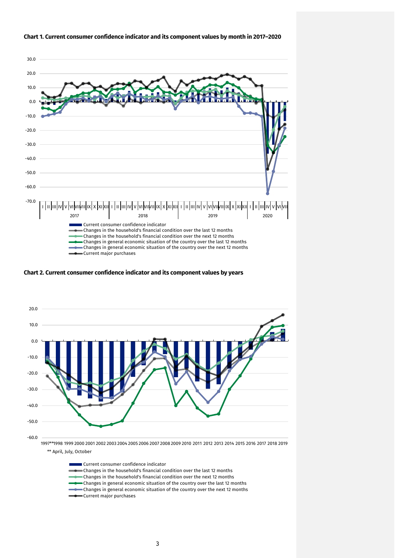

#### **Chart 1. Current consumer confidence indicator and its component values by month in 2017–2020**

**Chart 2. Current consumer confidence indicator and its component values by years**



Current consumer confidence indicator Changes in the household's financial condition over the last 12 months Changes in the household's financial condition over the next 12 months Changes in general economic situation of the country over the last 12 months  $\bullet$  Changes in general economic situation of the country over the next 12 months Current major purchases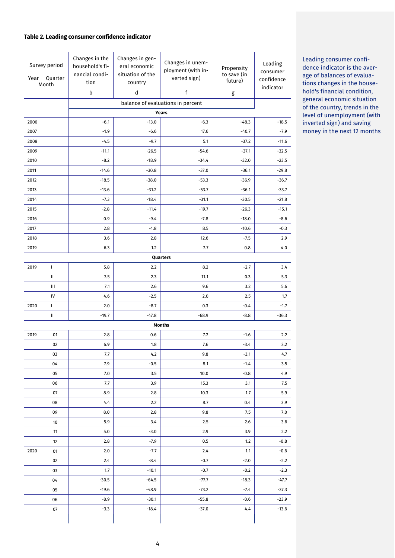#### **Table 2. Leading consumer confidence indicator**

| Survey period<br>Quarter<br>Year<br>Month |                                            | Changes in the<br>household's fi-<br>nancial condi-<br>tion<br>b | Changes in gen-<br>eral economic<br>situation of the<br>country<br>d | Changes in unem-<br>ployment (with in-<br>verted sign)<br>f | Propensity<br>to save (in<br>future) | Leading<br>consumer<br>confidence<br>indicator |  |  |
|-------------------------------------------|--------------------------------------------|------------------------------------------------------------------|----------------------------------------------------------------------|-------------------------------------------------------------|--------------------------------------|------------------------------------------------|--|--|
|                                           |                                            |                                                                  | $\mathsf g$                                                          |                                                             |                                      |                                                |  |  |
|                                           | balance of evaluations in percent<br>Years |                                                                  |                                                                      |                                                             |                                      |                                                |  |  |
| 2006                                      |                                            | $-6.1$                                                           | $-13.0$                                                              | $-6.3$                                                      | $-48.3$                              | $-18.5$                                        |  |  |
| 2007                                      |                                            | $-1.9$                                                           | $-6.6$                                                               | 17.6                                                        | $-40.7$                              | $-7.9$                                         |  |  |
| 2008                                      |                                            | $-4.5$                                                           | $-9.7$                                                               | 5.1                                                         | $-37.2$                              | $-11.6$                                        |  |  |
| 2009                                      |                                            | $-11.1$                                                          | $-26.5$                                                              | $-54.6$                                                     | $-37.1$                              | $-32.5$                                        |  |  |
| 2010                                      |                                            | $-8.2$                                                           | $-18.9$                                                              | $-34.4$                                                     | $-32.0$                              | $-23.5$                                        |  |  |
| 2011                                      |                                            | $-14.6$                                                          | $-30.8$                                                              | $-37.0$                                                     | $-36.1$                              | $-29.8$                                        |  |  |
| 2012                                      |                                            | $-18.5$                                                          | $-38.0$                                                              | $-53.3$                                                     | $-36.9$                              | $-36.7$                                        |  |  |
| 2013                                      |                                            | $-13.6$                                                          | $-31.2$                                                              | $-53.7$                                                     | $-36.1$                              | $-33.7$                                        |  |  |
| 2014                                      |                                            | $-7.3$                                                           | $-18.4$                                                              | $-31.1$                                                     | $-30.5$                              | $-21.8$                                        |  |  |
| 2015                                      |                                            | $-2.8$                                                           | $-11.4$                                                              | $-19.7$                                                     | $-26.3$                              | $-15.1$                                        |  |  |
| 2016                                      |                                            | 0.9                                                              | $-9.4$                                                               | $-7.8$                                                      | $-18.0$                              | $-8.6$                                         |  |  |
| 2017                                      |                                            | 2.8                                                              | $-1.8$                                                               | 8.5                                                         | $-10.6$                              | $-0.3$                                         |  |  |
| 2018                                      |                                            | 3.6                                                              | 2.8                                                                  | 12.6                                                        | $-7.5$                               | 2.9                                            |  |  |
| 2019                                      |                                            | 6.3                                                              | 1.2                                                                  | 7.7                                                         | 0.8                                  | 4.0                                            |  |  |
|                                           |                                            |                                                                  |                                                                      | Quarters                                                    |                                      |                                                |  |  |
| 2019                                      | $\mathbf{I}$                               | 5.8                                                              | 2.2                                                                  | 8.2                                                         | $-2.7$                               | 3.4                                            |  |  |
|                                           | Ш                                          | 7.5                                                              | 2.3                                                                  | 11.1                                                        | 0.3                                  | 5.3                                            |  |  |
|                                           | Ш                                          | 7.1                                                              | 2.6                                                                  | 9.6                                                         | 3.2                                  | 5.6                                            |  |  |
|                                           | IV                                         | 4.6                                                              | $-2.5$                                                               | 2.0                                                         | 2.5                                  | 1.7                                            |  |  |
| 2020                                      | $\mathbf{I}$                               | 2.0                                                              | $-8.7$                                                               | 0.3                                                         | $-0.4$                               | $-1.7$                                         |  |  |
|                                           | Ш                                          | $-19.7$                                                          | $-47.8$                                                              | $-68.9$                                                     | $-8.8$                               | $-36.3$                                        |  |  |
|                                           |                                            |                                                                  |                                                                      | Months                                                      |                                      |                                                |  |  |
| 2019                                      | 01                                         | 2.8                                                              | 0.6                                                                  | 7.2                                                         | $-1.6$                               | 2.2                                            |  |  |
|                                           | 02                                         | 6.9                                                              | $1.8\,$                                                              | $7.6\,$                                                     | $-3.4$                               | 3.2                                            |  |  |
|                                           | 03                                         | 7.7                                                              | 4.2                                                                  | 9.8                                                         | $-3.1$                               | 4.7                                            |  |  |
|                                           | 04                                         | 7.9                                                              | $-0.5$                                                               | 8.1                                                         | $-1.4$                               | 3.5                                            |  |  |
|                                           | 05                                         | 7.0                                                              | 3.5                                                                  | 10.0                                                        | $-0.8$                               | 4.9                                            |  |  |
|                                           | 06                                         | 7.7                                                              | 3.9                                                                  | 15.3                                                        | 3.1                                  | 7.5                                            |  |  |
|                                           | 07                                         | 8.9                                                              | 2.8                                                                  | 10.3                                                        | 1.7                                  | 5.9                                            |  |  |
|                                           | 08                                         | 4.4                                                              | 2.2                                                                  | 8.7                                                         | 0.4                                  | 3.9                                            |  |  |
|                                           | 09                                         | 8.0                                                              | 2.8                                                                  | 9.8                                                         | 7.5                                  | 7.0                                            |  |  |
|                                           | 10                                         | 5.9                                                              | 3.4                                                                  | 2.5                                                         | 2.6                                  | 3.6                                            |  |  |
|                                           | 11                                         | 5.0                                                              | $-3.0$                                                               | 2.9                                                         | 3.9                                  | 2.2                                            |  |  |
|                                           | 12                                         | 2.8                                                              | $-7.9$                                                               | 0.5                                                         | 1.2                                  | $-0.8$                                         |  |  |
| 2020                                      | 01                                         | 2.0                                                              | -7.7                                                                 | 2.4                                                         | 1.1                                  | $-0.6$                                         |  |  |
|                                           | 02                                         | 2.4                                                              | $-8.4$                                                               | $-0.7$                                                      | $-2.0$                               | $-2.2$                                         |  |  |
|                                           | 03                                         | 1.7                                                              | $-10.1$                                                              | $-0.7$                                                      | $-0.2$                               | $-2.3$                                         |  |  |
|                                           | 04                                         | $-30.5$                                                          | $-64.5$                                                              | $-77.7$                                                     | $-18.3$                              | -47.7                                          |  |  |
|                                           | 05                                         | $-19.6$                                                          | $-48.9$                                                              | $-73.2$                                                     | $-7.4$                               | $-37.3$                                        |  |  |
|                                           | 06                                         | $-8.9$                                                           | $-30.1$                                                              | $-55.8$                                                     | -0.6                                 | $-23.9$                                        |  |  |
|                                           | 07                                         | $-3.3$                                                           | $-18.4$                                                              | $-37.0$                                                     | 4,4                                  | $-13.6$                                        |  |  |

Leading consumer confidence indicator is the average of balances of evaluations changes in the household's financial condition, general economic situation of the country, trends in the level of unemployment (with inverted sign) and saving money in the next 12 months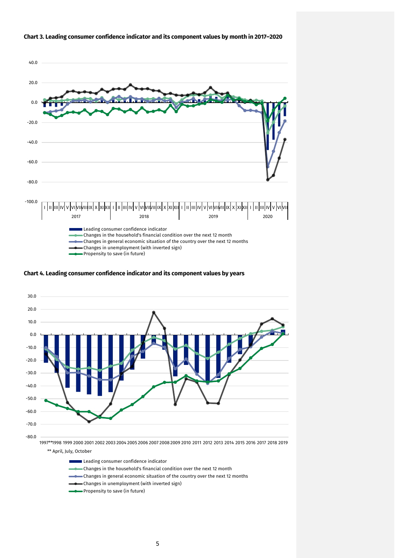

#### **Chart 3. Leading consumer confidence indicator and its component values by month in 2017–2020**

**Chart 4. Leading consumer confidence indicator and its component values by years**



Leading consumer confidence indicator

- Changes in the household's financial condition over the next 12 month
- Changes in general economic situation of the country over the next 12 months
- Changes in unemployment (with inverted sign)
- Propensity to save (in future)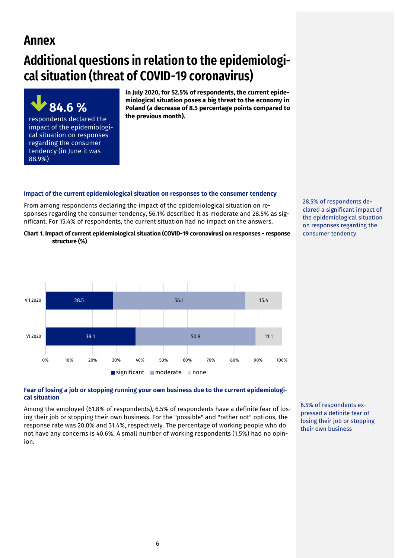# **Annex**

# **Additional questions in relation to the epidemiological situation (threat of COVID-19 coronavirus)**



**In July 2020, for 52.5% of respondents, the current epidemiological situation poses a big threat to the economy in Poland (a decrease of 8.5 percentage points compared to the previous month).** 

# **Impact of the current epidemiological situation on responses to the consumer tendency**

From among respondents declaring the impact of the epidemiological situation on responses regarding the consumer tendency, 56.1% described it as moderate and 28.5% as significant. For 15.4% of respondents, the current situation had no impact on the answers.

**Chart 1. Impact of current epidemiological situation (COVID-19 coronavirus) on responses - response structure (%)**



#### 28.5% of respondents declared a significant impact of the epidemiological situation on responses regarding the consumer tendency

# **Fear of losing a job or stopping running your own business due to the current epidemiological situation**

Among the employed (61.8% of respondents), 6.5% of respondents have a definite fear of losing their job or stopping their own business. For the "possible" and "rather not" options, the response rate was 20.0% and 31.4%, respectively. The percentage of working people who do not have any concerns is 40.6%. A small number of working respondents (1.5%) had no opinion.

6.5% of respondents expressed a definite fear of losing their job or stopping their own business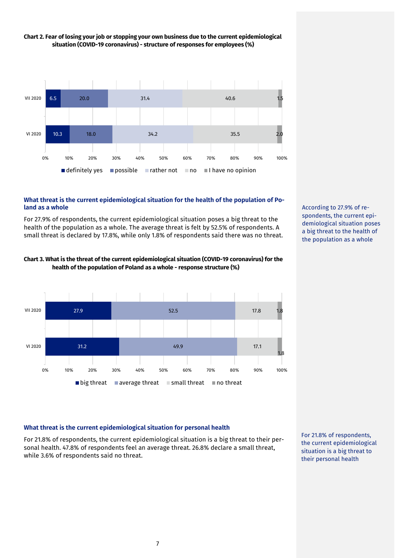

# **Chart 2. Fear of losing your job or stopping your own business due to the current epidemiological situation (COVID-19 coronavirus) - structure of responses for employees (%)**

## **What threat is the current epidemiological situation for the health of the population of Poland as a whole**

For 27.9% of respondents, the current epidemiological situation poses a big threat to the health of the population as a whole. The average threat is felt by 52.5% of respondents. A small threat is declared by 17.8%, while only 1.8% of respondents said there was no threat.





According to 27.9% of respondents, the current epidemiological situation poses a big threat to the health of the population as a whole

# **What threat is the current epidemiological situation for personal health**

For 21.8% of respondents, the current epidemiological situation is a big threat to their personal health. 47.8% of respondents feel an average threat. 26.8% declare a small threat, while 3.6% of respondents said no threat.

For 21.8% of respondents, the current epidemiological situation is a big threat to their personal health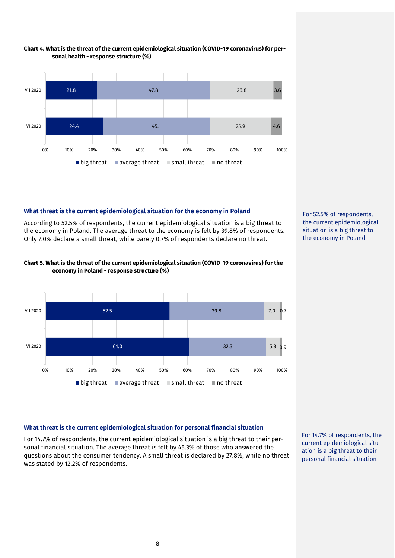

#### **Chart 4. What is the threat of the current epidemiological situation (COVID-19 coronavirus) for personal health - response structure (%)**

# **What threat is the current epidemiological situation for the economy in Poland**

According to 52.5% of respondents, the current epidemiological situation is a big threat to the economy in Poland. The average threat to the economy is felt by 39.8% of respondents. Only 7.0% declare a small threat, while barely 0.7% of respondents declare no threat.



#### **Chart 5. What is the threat of the current epidemiological situation (COVID-19 coronavirus) for the economy in Poland - response structure (%)**



### **What threat is the current epidemiological situation for personal financial situation**

For 14.7% of respondents, the current epidemiological situation is a big threat to their personal financial situation. The average threat is felt by 45.3% of those who answered the questions about the consumer tendency. A small threat is declared by 27.8%, while no threat was stated by 12.2% of respondents.

For 14.7% of respondents, the current epidemiological situation is a big threat to their personal financial situation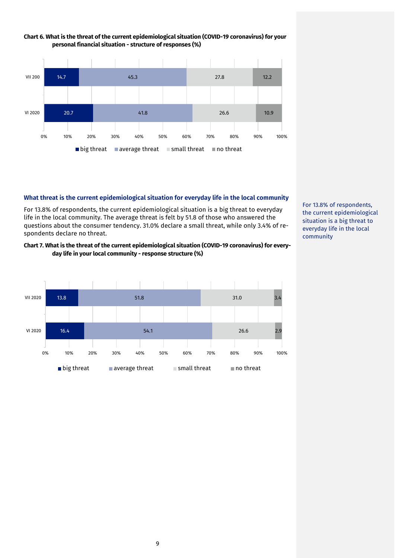

#### **Chart 6. What is the threat of the current epidemiological situation (COVID-19 coronavirus) for your personal financial situation - structure of responses (%)**

#### **What threat is the current epidemiological situation for everyday life in the local community**

For 13.8% of respondents, the current epidemiological situation is a big threat to everyday life in the local community. The average threat is felt by 51.8 of those who answered the questions about the consumer tendency. 31.0% declare a small threat, while only 3.4% of respondents declare no threat.

#### **Chart 7. What is the threat of the current epidemiological situation (COVID-19 coronavirus) for everyday life in your local community - response structure (%)**



For 13.8% of respondents, the current epidemiological situation is a big threat to everyday life in the local community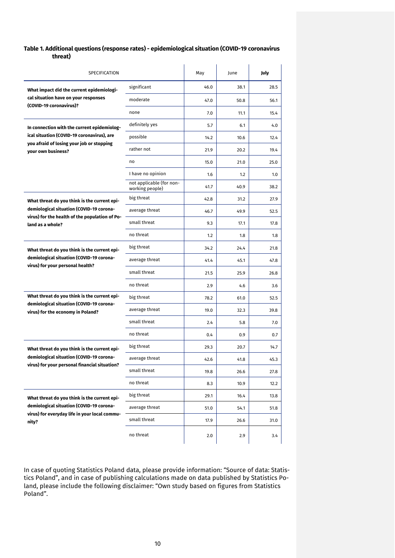#### **Table 1. Additional questions (response rates) - epidemiological situation (COVID-19 coronavirus threat)**

| SPECIFICATION                                                                              |                                             | May  | June | July |
|--------------------------------------------------------------------------------------------|---------------------------------------------|------|------|------|
| What impact did the current epidemiologi-                                                  | significant                                 | 46.0 | 38.1 | 28.5 |
| cal situation have on your responses                                                       | moderate                                    | 47.0 | 50.8 | 56.1 |
| (COVID-19 coronavirus)?                                                                    | none                                        | 7.0  | 11.1 | 15.4 |
| In connection with the current epidemiolog-                                                | definitely yes                              | 5.7  | 6.1  | 4.0  |
| ical situation (COVID-19 coronavirus), are                                                 | possible                                    | 14.2 | 10.6 | 12.4 |
| you afraid of losing your job or stopping<br>your own business?                            | rather not                                  | 21.9 | 20.2 | 19.4 |
|                                                                                            | no                                          | 15.0 | 21.0 | 25.0 |
|                                                                                            | I have no opinion                           | 1.6  | 1.2  | 1.0  |
|                                                                                            | not applicable (for non-<br>working people) | 41.7 | 40.9 | 38.2 |
| What threat do you think is the current epi-                                               | big threat                                  | 42.8 | 31.2 | 27.9 |
| demiological situation (COVID-19 corona-<br>virus) for the health of the population of Po- | average threat                              | 46.7 | 49.9 | 52.5 |
| land as a whole?                                                                           | small threat                                | 9.3  | 17.1 | 17.8 |
|                                                                                            | no threat                                   | 1.2  | 1.8  | 1.8  |
| What threat do you think is the current epi-                                               | big threat                                  | 34.2 | 24.4 | 21.8 |
| demiological situation (COVID-19 corona-<br>virus) for your personal health?               | average threat                              | 41.4 | 45.1 | 47.8 |
|                                                                                            | small threat                                | 21.5 | 25.9 | 26.8 |
|                                                                                            | no threat                                   | 2.9  | 4.6  | 3.6  |
| What threat do you think is the current epi-                                               | big threat                                  | 78.2 | 61.0 | 52.5 |
| demiological situation (COVID-19 corona-<br>virus) for the economy in Poland?              | average threat                              | 19.0 | 32.3 | 39.8 |
|                                                                                            | small threat                                | 2.4  | 5.8  | 7.0  |
|                                                                                            | no threat                                   | 0.4  | 0.9  | 0.7  |
| What threat do you think is the current epi-                                               | big threat                                  | 29.3 | 20.7 | 14.7 |
| demiological situation (COVID-19 corona-<br>virus) for your personal financial situation?  | average threat                              | 42.6 | 41.8 | 45.3 |
|                                                                                            | small threat                                | 19.8 | 26.6 | 27.8 |
|                                                                                            | no threat                                   | 8.3  | 10.9 | 12.2 |
| What threat do you think is the current epi-                                               | big threat                                  | 29.1 | 16.4 | 13.8 |
| demiological situation (COVID-19 corona-<br>virus) for everyday life in your local commu-  | average threat                              | 51.0 | 54.1 | 51.8 |
| nity?                                                                                      | small threat                                | 17.9 | 26.6 | 31.0 |
|                                                                                            | no threat                                   | 2.0  | 2.9  | 3.4  |

In case of quoting Statistics Poland data, please provide information: "Source of data: Statistics Poland", and in case of publishing calculations made on data published by Statistics Poland, please include the following disclaimer: "Own study based on figures from Statistics Poland".